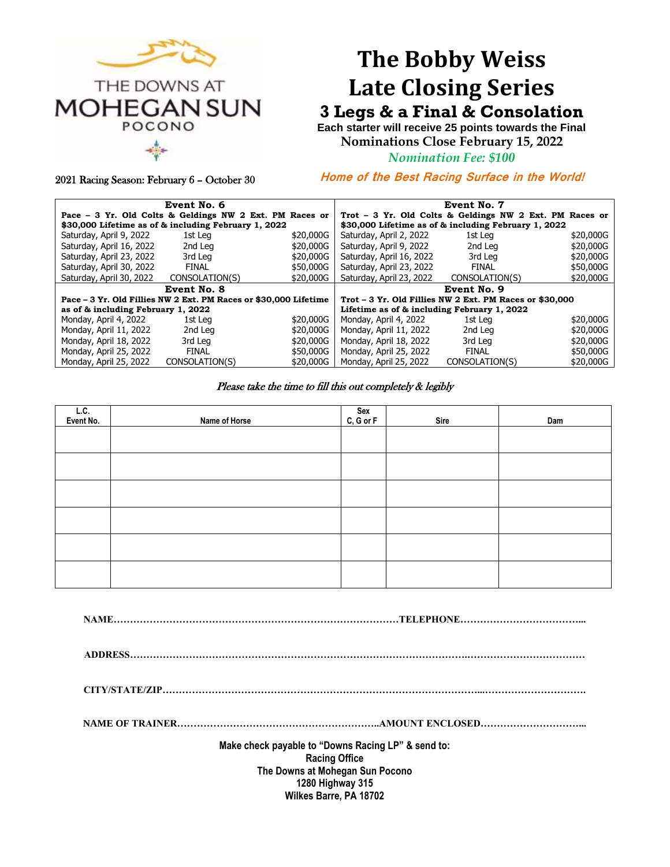

# **The Bobby Weiss Late Closing Series**

## **3 Legs & a Final & Consolation**

**Each starter will receive 25 points towards the Final Nominations Close February 15, 2022**

*Nomination Fee: \$100*

2021 Racing Season: February 6 – October 30

**Home of the Best Racing Surface in the World!** 

| Event No. 6                                                      |                |           | Event No. 7                                             |                |           |  |
|------------------------------------------------------------------|----------------|-----------|---------------------------------------------------------|----------------|-----------|--|
| Pace - 3 Yr. Old Colts & Geldings NW 2 Ext. PM Races or          |                |           | Trot - 3 Yr. Old Colts & Geldings NW 2 Ext. PM Races or |                |           |  |
| \$30,000 Lifetime as of & including February 1, 2022             |                |           | \$30,000 Lifetime as of & including February 1, 2022    |                |           |  |
| Saturday, April 9, 2022                                          | 1st Leg        | \$20,000G | Saturday, April 2, 2022                                 | 1st Leg        | \$20,000G |  |
| Saturday, April 16, 2022                                         | 2nd Leg        | \$20,000G | Saturday, April 9, 2022                                 | 2nd Leg        | \$20,000G |  |
| Saturday, April 23, 2022                                         | 3rd Leg        | \$20,000G | Saturday, April 16, 2022                                | 3rd Leg        | \$20,000G |  |
| Saturday, April 30, 2022                                         | <b>FINAL</b>   | \$50,000G | Saturday, April 23, 2022                                | FINAL          | \$50,000G |  |
| Saturday, April 30, 2022                                         | CONSOLATION(S) | \$20,000G | Saturday, April 23, 2022                                | CONSOLATION(S) | \$20,000G |  |
| Event No. 8                                                      |                |           | Event No. 9                                             |                |           |  |
| Pace – 3 Yr. Old Fillies NW 2 Ext. PM Races or \$30,000 Lifetime |                |           | Trot – 3 Yr. Old Fillies NW 2 Ext. PM Races or \$30,000 |                |           |  |
| as of & including February 1, 2022                               |                |           | Lifetime as of & including February 1, 2022             |                |           |  |
| Monday, April 4, 2022                                            | 1st Lea        | \$20,000G | Monday, April 4, 2022                                   | 1st Lea        | \$20,000G |  |
| Monday, April 11, 2022                                           | 2nd Leg        | \$20,000G | Monday, April 11, 2022                                  | 2nd Leg        | \$20,000G |  |
| Monday, April 18, 2022                                           | 3rd Leg        | \$20,000G | Monday, April 18, 2022                                  | 3rd Leg        | \$20,000G |  |
| Monday, April 25, 2022                                           | <b>FINAL</b>   | \$50,000G | Monday, April 25, 2022                                  | <b>FINAL</b>   | \$50,000G |  |
| Monday, April 25, 2022                                           | CONSOLATION(S) | \$20,000G | Monday, April 25, 2022                                  | CONSOLATION(S) | \$20,000G |  |

#### Please take the time to fill this out completely & legibly

| L.C.<br>Event No. | Name of Horse | Sex<br>C, G or F | Sire | Dam |
|-------------------|---------------|------------------|------|-----|
|                   |               |                  |      |     |
|                   |               |                  |      |     |
|                   |               |                  |      |     |
|                   |               |                  |      |     |
|                   |               |                  |      |     |
|                   |               |                  |      |     |

**NAME……………………………………………………………………………TELEPHONE………………………………...**

**ADDRESS………………………………………………………………………………………….………………………………**

**CITY/STATE/ZIP……………………………………………………………………………………...………………………….**

**NAME OF TRAINER……………………………………………………..AMOUNT ENCLOSED…………………………...**

**Make check payable to "Downs Racing LP" & send to: Racing Office The Downs at Mohegan Sun Pocono 1280 Highway 315 Wilkes Barre, PA 18702**